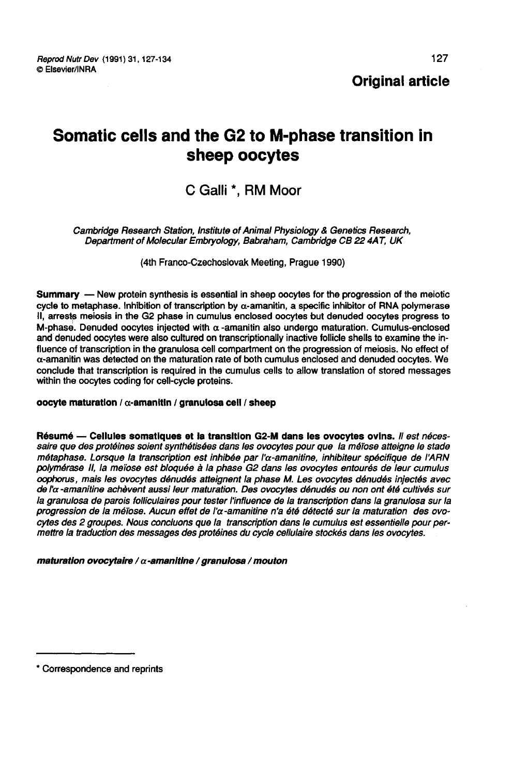Reprod Nutr Dev (1991) 31, 127-134 © Elsevier/INRA

Original article

# Somatic cells and the G2 to M-phase transition in sheep oocytes

## C Galli \*, RM Moor

Cambridge Research Station, Institute of Animal Physiology & Genetics Research, Department of Molecular Embryology, Babraham, Cambridge CB 22 4AT, UK

(4th Franco-Czechoslovak Meeting, Prague 1990)

Summary ― New protein synthesis is essential in sheep oocytes for the progression of the meiotic cycle to metaphase. Inhibition of transcription by a-amanitin, a specific inhibitor of RNA polymerase II, arrests meiosis in the G2 phase in cumulus enclosed oocytes but denuded oocytes progress to M-phase. Denuded oocytes injected with  $\alpha$  -amanitin also undergo maturation. Cumulus-enclosed and denuded oocytes were also cultured on transcriptionally inactive follicle shells to examine the influence of transcription in the granulosa cell compartment on the progression of meiosis. No effect of  $\alpha$ -amanitin was detected on the maturation rate of both cumulus enclosed and denuded oocytes. We conclude that transcription is required in the cumulus cells to allow translation of stored messages within the oocytes coding for cell-cycle proteins.

#### oocyte maturation /  $\alpha$ -amanitin / granulosa cell / sheep

Résumé — Cellules somatiques et la transition G2-M dans les ovocytes ovins. Il est nécessaire que des protéines soient synthétisées dans les ovocytes pour que la méiose atteigne le stade métaphase. Lorsque la transcription est inhibée par l'a-amanitine, inhibiteur spécifique de I ARN polymérase Il, la meïose est bloquée à la phase G2 dans les ovocytes entourés de leur cumulus oophorus, mais les ovocytes dénudés atteignent la phase M. Les ovocytes dénudés injectés avec de l'a-amanitine achèvent aussi leur maturation. Des ovocytes dénudés ou non ont été cultivés sur la granulosa de parois folliculaires pour tester l'influence de la transcription dans la granulosa sur la progression de la méïose. Aucun effet de l'α-amanitine n'a été détecté sur la maturation des ovo-<br>cytes des 2 groupes. Nous concluons que la transcription dans le cumulus est essentielle pour permettre la traduction des messages des protéines du cycle cellulaire stockés dans les ovocytes.

maturation ovocytaire /  $\alpha$ -amanitine / granulosa / mouton

<sup>\*</sup> Correspondence and reprints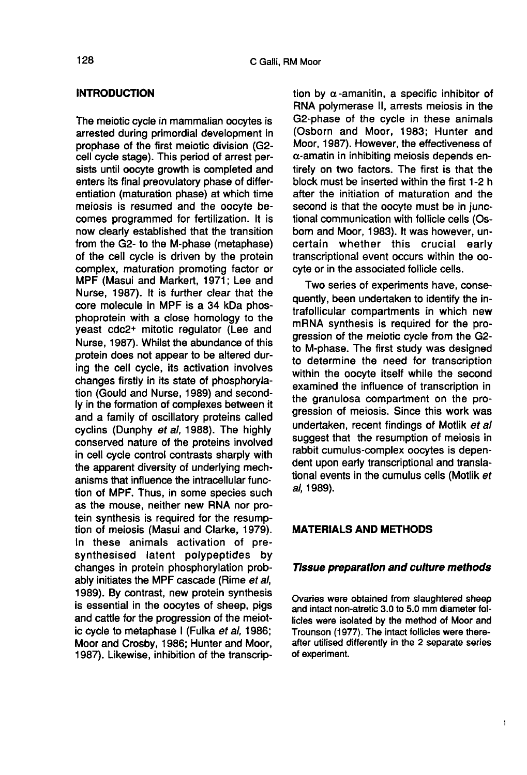#### INTRODUCTION

The meiotic cycle in mammalian oocytes is arrested during primordial development in prophase of the first meiotic division (G2 cell cycle stage). This period of arrest persists until oocyte growth is completed and enters its final preovulatory phase of differentiation (maturation phase) at which time meiosis is resumed and the oocyte becomes programmed for fertilization. It is now clearly established that the transition from the G2- to the M-phase (metaphase) of the cell cycle is driven by the protein complex, maturation promoting factor or MPF (Masui and Markert, 1971; Lee and Nurse, 1987). It is further clear that the core molecule in MPF is a 34 kDa phosphoprotein with a close homology to the yeast cdc2+ mitotic regulator (Lee and Nurse, 1987). Whilst the abundance of this protein does not appear to be altered during the cell cycle, its activation involves changes firstly in its state of phosphorylation (Gould and Nurse, 1989) and secondly in the formation of complexes between it and a family of oscillatory proteins called cyclins (Dunphy et al, 1988). The highly conserved nature of the proteins involved in cell cycle control contrasts sharply with the apparent diversity of underlying mechanisms that influence the intracellular function of MPF. Thus, in some species such as the mouse, neither new RNA nor protein synthesis is required for the resumption of meiosis (Masui and Clarke, 1979). In these animals activation of presynthesised latent polypeptides by changes in protein phosphorylation probably initiates the MPF cascade (Rime et al, 1989). By contrast, new protein synthesis is essential in the oocytes of sheep, pigs and cattle for the progression of the meiotic cycle to metaphase I (Fulka et al, 1986; Moor and Crosby, 1986; Hunter and Moor, 1987). Likewise, inhibition of the transcrip-

tion by  $\alpha$ -amanitin, a specific inhibitor of RNA polymerase II, arrests meiosis in the G2-phase of the cycle in these animals (Osborn and Moor, 1983; Hunter and Moor, 1987). However, the effectiveness of a-amatin in inhibiting meiosis depends entirely on two factors. The first is that the block must be inserted within the first 1-2 h after the initiation of maturation and the second is that the oocyte must be in junctional communication with follicle cells (Osborn and Moor, 1983). It was however, uncertain whether this crucial early transcriptional event occurs within the oocyte or in the associated follicle cells.

Two series of experiments have, consequently, been undertaken to identify the intrafollicular compartments in which new mRNA synthesis is required for the progression of the meiotic cycle from the G2 to M-phase. The first study was designed to determine the need for transcription within the oocyte itself while the second examined the influence of transcription in the granulosa compartment on the progression of meiosis. Since this work was undertaken, recent findings of Motlik et al suggest that the resumption of meiosis in rabbit cumulus-complex oocytes is dependent upon early transcriptional and translational events in the cumulus cells (Motlik et al, 1989).

## MATERIALS AND METHODS

#### Tissue preparation and culture methods

Ovaries were obtained from slaughtered sheep and intact non-atretic 3.0 to 5.0 mm diameter follicles were isolated by the method of Moor and Trounson (1977). The intact follicles were thereafter utilised differently in the 2 separate series of experiment.

 $\overline{1}$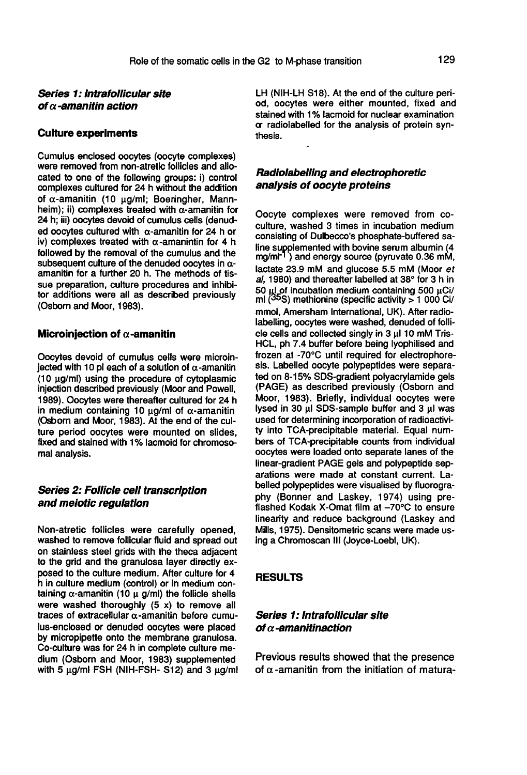## Series 1: lntrafollicular site of  $\alpha$ -amanitin action

#### Culture experiments

Cumulus enclosed oocytes (oocyte complexes) were removed from non-atretic follicles and allocated to one of the following groups: i) control complexes cultured for 24 h without the addition of  $\alpha$ -amanitin (10 µg/ml; Boeringher, Mannheim); ii) complexes treated with  $\alpha$ -amanitin for 24 h; iii) oocytes devoid of cumulus cells (denuded oocytes cultured with  $\alpha$ -amanitin for 24 h or iv) complexes treated with  $\alpha$ -amanintin for 4 h followed by the removal of the cumulus and the subsequent culture of the denuded oocytes in  $\alpha$ amanitin for a further 20 h. The methods of tissue preparation, culture procedures and inhibitor additions were all as described previously (Osborn and Moor, 1983).

#### Microinjection of  $\alpha$ -amanitin

Oocytes devoid of cumulus cells were microiniected with 10 pl each of a solution of  $\alpha$ -amanitin (10  $\mu$ g/ml) using the procedure of cytoplasmic injection described previously (Moor and Powell, 1989). Oocytes were thereafter cultured for 24 h in medium containing 10  $\mu$ g/ml of  $\alpha$ -amanitin (Osborn and Moor, 1983). At the end of the culture period oocytes were mounted on slides, fixed and stained with 1% lacmoid for chromosomal analysis.

## Series 2: Follicle cell transcription and meiotic regulation

Non-atretic follicles were carefully opened, washed to remove follicular fluid and spread out to the grid and the granulosa layer directly exposed to the culture medium. After culture for 4 h in culture medium (control) or in medium containing  $\alpha$ -amanitin (10  $\mu$  g/ml) the follicle shells were washed thoroughly  $(5 x)$  to remove all traces of extracellular  $\alpha$ -amanitin before cumulus-enclosed or denuded oocytes were placed<br>by micropipette onto the membrane granulosa. Co-culture was for 24 h in complete culture me-<br>dium (Osborn and Moor, 1983) supplemented with 5  $\mu$ g/ml FSH (NIH-FSH- S12) and 3  $\mu$ g/ml LH (NIH-LH S18). At the end of the culture period, oocytes were either mounted, fixed and stained with 1% lacmoid for nuclear examination or radiolabelled for the analysis of protein synthesis.

## Radiolabelllng and electraphoretic analysis of oocyte proteins

Oocyte complexes were removed from coculture, washed 3 times in incubation medium consisting of Dulbecco's phosphate-buffered sa**analysis of oocyte proteins**<br>Cocyte complexes were removed from co-<br>culture, washed 3 times in incubation medium<br>consisting of Dulbecco's phosphate-buffered sa-<br>line supplemented with bovine serum albumin (4<br>mg/ml<sup>-1</sup>) an lactate 23.9 mM and glucose 5.5 mM (Moor et al, 1980) and thereafter labelled at 38° for 3 h in 50  $\mu$  of incubation medium containing 500  $\mu$ Ci/ ml (<sup>35</sup>S) methionine (specific activity > 1 000 Ci/ mmol, Amersham International, UK). After radiolabelling, oocytes were washed, denuded of follicle cells and collected singly in 3 pl 10 mM Tris-HCL, ph 7.4 buffer before being lyophilised and frozen at -70°C until required for electrophore sis. Labelled oocyte polypeptides were separated on 8-15% SDS-gradient polyacrylamide gels (PAGE) as described previously (Osborn and Moor, 1983). Briefly, individual oocytes were lysed in 30  $\mu$ l SDS-sample buffer and 3  $\mu$ l was used for determining incorporation of radioactivity into TCA-precipitable material. Equal numbers of TCA-precipitable counts from individual oocytes were loaded onto separate lanes of the linear-gradient PAGE gels and polypeptide separations were made at constant current. Labelled polypeptides were visualised by fluorography (Bonner and Laskey, 1974) using preflashed Kodak X-Omat film at -70°C to ensure linearity and reduce background (Laskey and Mills, 1975). Densitometric scans were made using a Chromoscan III (Joyce-Loebl, UK).

### RESULTS

## Series 1: lntrafollicular site of  $\alpha$ -amanitinaction

Previous results showed that the presence of  $\alpha$ -amanitin from the initiation of matura-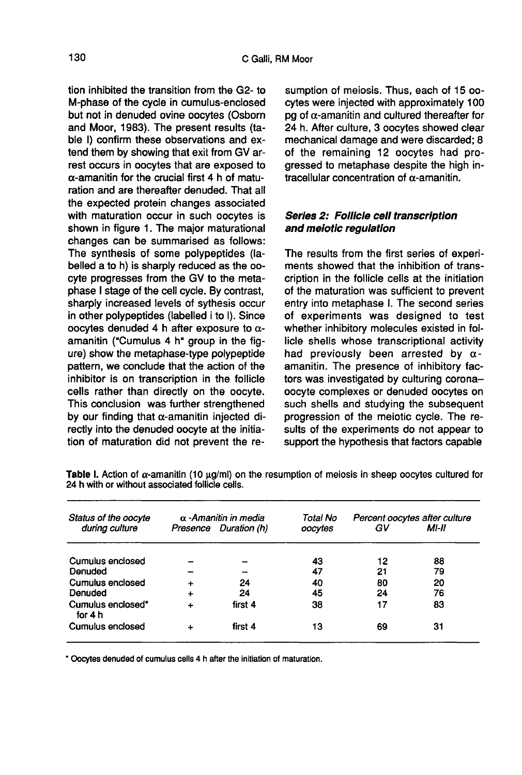tion inhibited the transition from the G2- to M-phase of the cycle in cumulus-enclosed but not in denuded ovine oocytes (Osborn and Moor, 1983). The present results (table I) confirm these observations and extend them by showing that exit from GV arrest occurs in oocytes that are exposed to  $\alpha$ -amanitin for the crucial first 4 h of maturation and are thereafter denuded. That all the expected protein changes associated with maturation occur in such oocytes is shown in figure 1. The major maturational changes can be summarised as follows: The synthesis of some polypeptides (labelled a to h) is sharply reduced as the oocyte progresses from the GV to the metaphase I stage of the cell cycle. By contrast, sharply increased levels of sythesis occur in other polypeptides (labelled i to I). Since oocytes denuded 4 h after exposure to  $\alpha$ amanitin ("Cumulus 4 h" group in the figure) show the metaphase-type polypeptide pattern, we conclude that the action of the inhibitor is on transcription in the follicle cells rather than directly on the oocyte. This conclusion was further strengthened by our finding that  $\alpha$ -amanitin injected directly into the denuded oocyte at the initiation of maturation did not prevent the re-

sumption of meiosis. Thus, each of 15 00 cytes were injected with approximately 100 pg of  $\alpha$ -amanitin and cultured thereafter for 24 h. After culture, 3 oocytes showed clear mechanical damage and were discarded; 8 of the remaining 12 oocytes had progressed to metaphase despite the high intracellular concentration of  $\alpha$ -amanitin.

## Series 2: Follicle cell transcription and meiotic regulation

The results from the first series of experiments showed that the inhibition of transcription in the follicle cells at the initiation of the maturation was sufficient to prevent entry into metaphase I. The second series of experiments was designed to test whether inhibitory molecules existed in follicle shells whose transcriptional activity had previously been arrested by  $\alpha$ amanitin. The presence of inhibitory factors was investigated by culturing coronaoocyte complexes or denuded oocytes on such shells and studying the subsequent progression of the meiotic cycle. The results of the experiments do not appear to support the hypothesis that factors capable

| Status of the oocyte<br>during culture | $\alpha$ -Amanitin in media<br>Presence Duration (h) |         | Total No<br>oocvtes | Percent oocytes after culture<br>GV<br>MI-II |    |
|----------------------------------------|------------------------------------------------------|---------|---------------------|----------------------------------------------|----|
|                                        |                                                      |         |                     |                                              |    |
| Cumulus enclosed                       |                                                      |         | 43                  | 12                                           | 88 |
| Denuded                                |                                                      |         | 47                  | 21                                           | 79 |
| <b>Cumulus enclosed</b>                | ÷                                                    | 24      | 40                  | 80                                           | 20 |
| Denuded                                | ÷                                                    | 24      | 45                  | 24                                           | 76 |
| Cumulus enclosed*<br>for 4 h           | ÷                                                    | first 4 | 38                  | 17                                           | 83 |
| Cumulus enclosed                       | +                                                    | first 4 | 13                  | 69                                           | 31 |

Table I. Action of  $\alpha$ -amanitin (10 µg/ml) on the resumption of meiosis in sheep oocytes cultured for 24 h with or without associated follicle cells.

\* Oocytes denuded of cumulus cells 4 h after the initiation of maturation.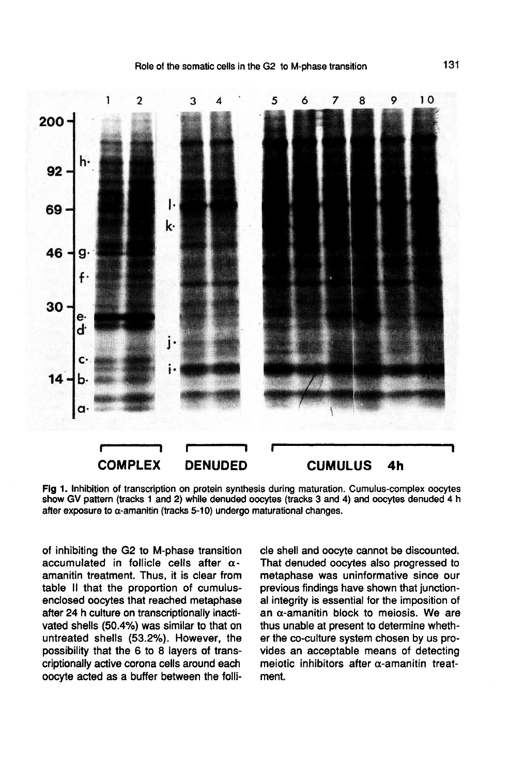

Fig 1. Inhibition of transcription on protein synthesis during maturation. Cumulus-complex oocytes show GV pattern (tracks 1 and 2) while denuded oocytes (tracks 3 and 4) and oocytes denuded 4 h after exposure to  $\alpha$ -amanitin (tracks 5-10) undergo maturational changes.

of inhibiting the G2 to M-phase transition accumulated in follicle cells after  $\alpha$ amanitin treatment. Thus, it is clear from table II that the proportion of cumulusenclosed oocytes that reached metaphase after 24 h culture on transcriptionally inactivated shells (50.4%) was similar to that on untreated shells (53.2%). However, the possibility that the 6 to 8 layers of transcriptionally active corona cells around each oocyte acted as a buffer between the follicle shell and oocyte cannot be discounted. That denuded oocytes also progressed to metaphase was uninformative since our previous findings have shown that junctional integrity is essential for the imposition of an  $\alpha$ -amanitin block to meiosis. We are thus unable at present to determine whether the co-culture system chosen by us provides an acceptable means of detecting meiotic inhibitors after  $\alpha$ -amanitin treatment.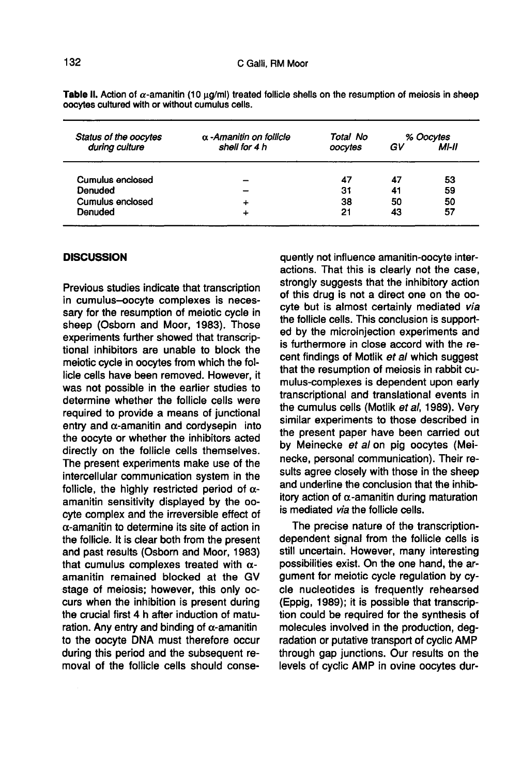| Status of the oocytes   | α-Amanitin on follicle | Total No | % Oocytes |       |
|-------------------------|------------------------|----------|-----------|-------|
| during culture          | shell for 4 h          | oocytes  | GV        | MI-II |
| <b>Cumulus enclosed</b> |                        | 47       | 47        | 53    |
| Denuded                 |                        | 31       | 41        | 59    |
| Cumulus enclosed        | ÷                      | 38       | 50        | 50    |
| Denuded                 | 4                      | 21       | 43        | 57    |

Table II, Action of  $\alpha$ -amanitin (10 µg/ml) treated follicle shells on the resumption of meiosis in sheep oocytes cultured with or without cumulus cells.

#### **DISCUSSION**

Previous studies indicate that transcription in cumulus-oocyte complexes is necessary for the resumption of meiotic cycle in sheep (Osborn and Moor, 1983). Those experiments further showed that transcriptional inhibitors are unable to block the meiotic cycle in oocytes from which the follicle cells have been removed. However, it was not possible in the earlier studies to determine whether the follicle cells were required to provide a means of junctional entry and  $\alpha$ -amanitin and cordysepin into the oocyte or whether the inhibitors acted directly on the follicle cells themselves. The present experiments make use of the intercellular communication system in the follicle, the highly restricted period of  $\alpha$ amanitin sensitivity displayed by the oocyte complex and the irreversible effect of  $\alpha$ -amanitin to determine its site of action in the follicle. It is clear both from the present and past results (Osborn and Moor, 1983) that cumulus complexes treated with  $\alpha$ amanitin remained blocked at the GV stage of meiosis; however, this only occurs when the inhibition is present during the crucial first 4 h after induction of maturation. Any entry and binding of  $\alpha$ -amanitin to the oocyte DNA must therefore occur during this period and the subsequent removal of the follicle cells should consequently not influence amanitin-oocyte interactions. That this is clearly not the case, strongly suggests that the inhibitory action of this drug is not a direct one on the oocyte but is almost certainly mediated via the follicle cells. This conclusion is supported by the microinjection experiments and is furthermore in close accord with the recent findings of Motlik et al which suggest that the resumption of meiosis in rabbit cumulus-complexes is dependent upon early transcriptional and translational events in the cumulus cells (Motlik et al, 1989). Very similar experiments to those described in the present paper have been carried out by Meinecke et al on pig oocytes (Meinecke, personal communication). Their results agree closely with those in the sheep and underline the conclusion that the inhibitory action of  $\alpha$ -amanitin during maturation is mediated via the follicle cells.

The precise nature of the transcriptiondependent signal from the follicle cells is still uncertain. However, many interesting possibilities exist. On the one hand, the argument for meiotic cycle regulation by cycle nucleotides is frequently rehearsed (Eppig, 1989); it is possible that transcription could be required for the synthesis of molecules involved in the production, degradation or putative transport of cyclic AMP through gap junctions. Our results on the levels of cyclic AMP in ovine oocytes dur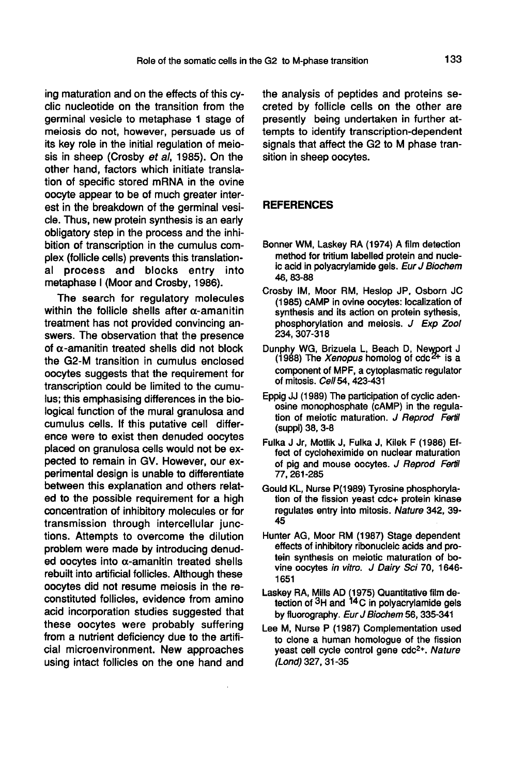ing maturation and on the effects of this cyclic nucleotide on the transition from the germinal vesicle to metaphase 1 stage of meiosis do not, however, persuade us of its key role in the initial regulation of meiosis in sheep (Crosby et al, 1985). On the other hand, factors which initiate translation of specific stored mRNA in the ovine oocyte appear to be of much greater interest in the breakdown of the germinal vesicle. Thus, new protein synthesis is an early obligatory step in the process and the inhibition of transcription in the cumulus complex (follicle cells) prevents this translational process and blocks entry into metaphase I (Moor and Crosby, 1986).

The search for regulatory molecules within the follicle shells after  $\alpha$ -amanitin treatment has not provided convincing answers. The observation that the presence of  $\alpha$ -amanitin treated shells did not block the G2-M transition in cumulus enclosed oocytes suggests that the requirement for transcription could be limited to the cumulus; this emphasising differences in the biological function of the mural granulosa and cumulus cells. If this putative cell difference were to exist then denuded oocytes placed on granulosa cells would not be expected to remain in GV. However, our experimental design is unable to differentiate between this explanation and others related to the possible requirement for a high concentration of inhibitory molecules or for transmission through intercellular junctions. Attempts to overcome the dilution problem were made by introducing denuded oocytes into  $\alpha$ -amanitin treated shells rebuilt into artificial follicles. Although these oocytes did not resume meiosis in the reconstituted follicles, evidence from amino acid incorporation studies suggested that these oocytes were probably suffering from a nutrient deficiency due to the artificial microenvironment. New approaches using intact follicles on the one hand and

the analysis of peptides and proteins secreted by follicle cells on the other are presently being undertaken in further attempts to identify transcription-dependent signals that affect the G2 to M phase transition in sheep oocytes.

## REFERENCES

- Bonner WM, Laskey RA (1974) A film detection method for tritium labelled protein and nucleic acid in polyacrylamide gels. Eur J Biochem 46, 83-88
- Crosby IM, Moor RM, Heslop JP, Osborn JC (1985) cAMP in ovine oocytes: localization of synthesis and its action on protein sythesis, phosphorylation and meiosis. J Exp Zool 234, 307-318
- Dunphy WG, Brizuela L, Beach D, Newport J<br>(1988) The *Xenopus* homolog of cdc<sup>2+</sup> is a component of MPF, a cytoplasmatic regulator of mitosis. Cell54, 423-431
- Eppig JJ (1989) The participation of cyclic adenosine monophosphate (cAMP) in the regulation of meiotic maturation. J Reprod Fertil (suppl) 38, 3-8
- Fulka J Jr, Motlik J, Fulka J, Kilek F (1986) Effect of cycloheximide on nuclear maturation of pig and mouse oocytes. J Reprod Fertil 77, 261-285
- Gould KL, Nurse P(1989) Tyrosine phosphorylation of the fission yeast cdc+ protein kinase regulates entry into mitosis. Nature 342, 39- 45
- Hunter AG, Moor RM (1987) Stage dependent effects of inhibitory ribonucleic acids and protein synthesis on meiotic maturation of bovine oocytes in vitro. J Dairy Sci 70, 1646- 1651
- Laskey RA, Mills AD (1975) Quantitative film detection of <sup>3</sup>H and <sup>14</sup>C in polyacrylamide gels by fluorography. Eur J Biochem 56, 335-341
- Lee M, Nurse P (1987) Complementation used to clone a human homologue of the fission  $P$  (1987) Complementation used<br>to clone a human homologue of the fission<br>yeast cell cycle control gene  $cdc<sup>2+</sup>$ . Nature (Lond) 327, 31-35